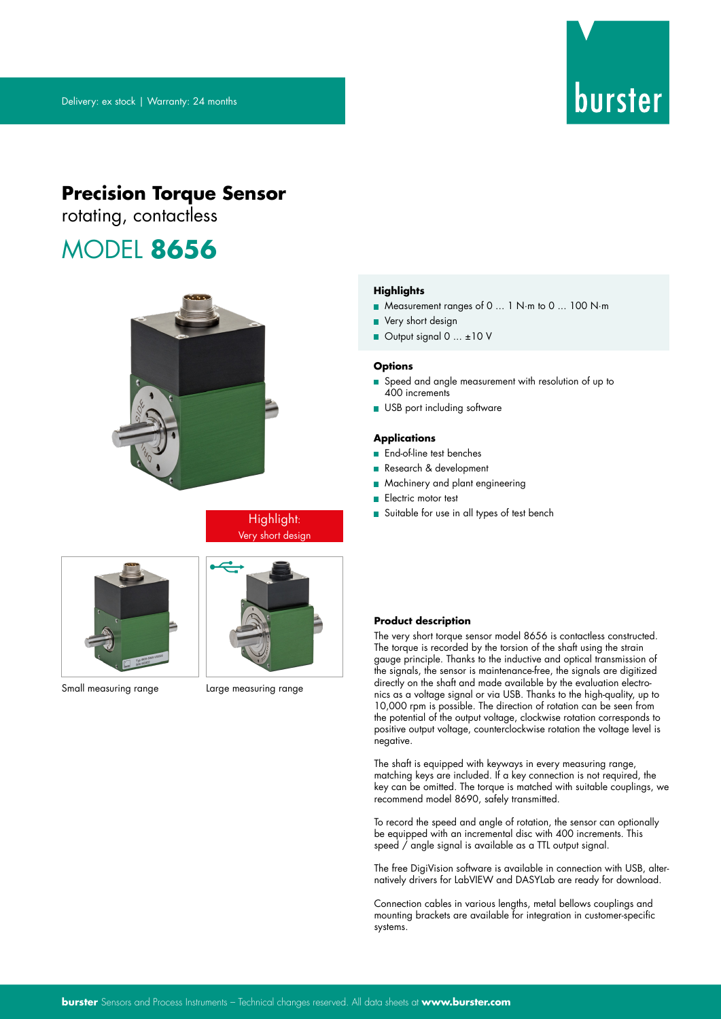# burster

# **Precision Torque Sensor**

rotating, contactless

# MODEL **8656**



Highlight: Very short design



Small measuring range Large measuring range



### **Highlights**

- Measurement ranges of 0 ... 1 N·m to 0 ... 100 N·m
- **Very short design**
- Output signal 0 ...  $\pm 10$  V

### **Options**

- Speed and angle measurement with resolution of up to 400 increments
- USB port including software

### **Applications**

- **End-of-line test benches**
- Research & development
- **Machinery and plant engineering**
- **Electric motor test**
- Suitable for use in all types of test bench

### **Product description**

The very short torque sensor model 8656 is contactless constructed. The torque is recorded by the torsion of the shaft using the strain gauge principle. Thanks to the inductive and optical transmission of the signals, the sensor is maintenance-free, the signals are digitized directly on the shaft and made available by the evaluation electronics as a voltage signal or via USB. Thanks to the high-quality, up to 10,000 rpm is possible. The direction of rotation can be seen from the potential of the output voltage, clockwise rotation corresponds to positive output voltage, counterclockwise rotation the voltage level is negative.

The shaft is equipped with keyways in every measuring range, matching keys are included. If a key connection is not required, the key can be omitted. The torque is matched with suitable couplings, we recommend model 8690, safely transmitted.

To record the speed and angle of rotation, the sensor can optionally be equipped with an incremental disc with 400 increments. This speed / angle signal is available as a TTL output signal.

The free DigiVision software is available in connection with USB, alternatively drivers for LabVIEW and DASYLab are ready for download.

Connection cables in various lengths, metal bellows couplings and mounting brackets are available for integration in customer-specific systems.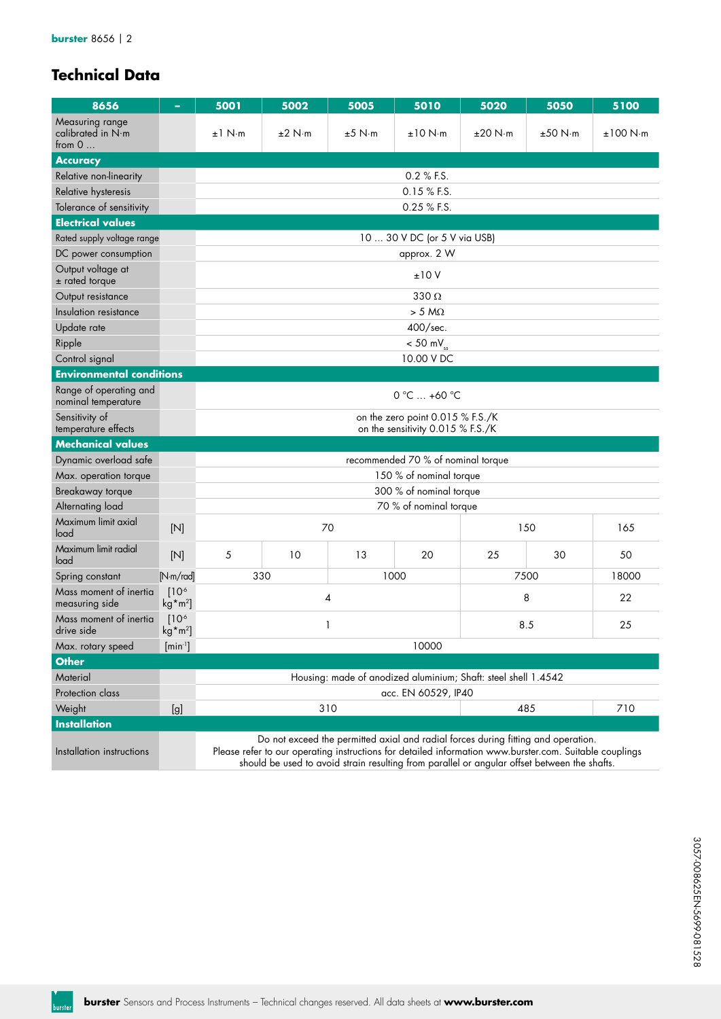# **Technical Data**

| 8656                                             |                                 | 5001                                                                                                                                                                                                                                                                                         | 5002                                                                  | 5005                                                           | 5010                               | 5020          | 5050    | 5100     |  |  |  |
|--------------------------------------------------|---------------------------------|----------------------------------------------------------------------------------------------------------------------------------------------------------------------------------------------------------------------------------------------------------------------------------------------|-----------------------------------------------------------------------|----------------------------------------------------------------|------------------------------------|---------------|---------|----------|--|--|--|
| Measuring range<br>calibrated in N·m<br>from $0$ |                                 | $±1$ N⋅m                                                                                                                                                                                                                                                                                     | ±2 N·m                                                                | $±5$ N $\cdot$ m                                               | ±10 N·m                            | ±20 N·m       | ±50 N·m | ±100 N·m |  |  |  |
| <b>Accuracy</b>                                  |                                 |                                                                                                                                                                                                                                                                                              |                                                                       |                                                                |                                    |               |         |          |  |  |  |
| Relative non-linearity                           |                                 | 0.2 % F.S.                                                                                                                                                                                                                                                                                   |                                                                       |                                                                |                                    |               |         |          |  |  |  |
| Relative hysteresis                              |                                 |                                                                                                                                                                                                                                                                                              | 0.15 % F.S.                                                           |                                                                |                                    |               |         |          |  |  |  |
| Tolerance of sensitivity                         |                                 | 0.25 % F.S.                                                                                                                                                                                                                                                                                  |                                                                       |                                                                |                                    |               |         |          |  |  |  |
| <b>Electrical values</b>                         |                                 |                                                                                                                                                                                                                                                                                              |                                                                       |                                                                |                                    |               |         |          |  |  |  |
| Rated supply voltage range                       |                                 |                                                                                                                                                                                                                                                                                              |                                                                       |                                                                | 10  30 V DC (or 5 V via USB)       |               |         |          |  |  |  |
| DC power consumption                             |                                 |                                                                                                                                                                                                                                                                                              |                                                                       |                                                                | approx. 2 W                        |               |         |          |  |  |  |
| Output voltage at<br>$±$ rated torque            |                                 |                                                                                                                                                                                                                                                                                              |                                                                       |                                                                | ±10V                               |               |         |          |  |  |  |
| Output resistance                                |                                 |                                                                                                                                                                                                                                                                                              |                                                                       |                                                                | 330 $\Omega$                       |               |         |          |  |  |  |
| Insulation resistance                            |                                 |                                                                                                                                                                                                                                                                                              |                                                                       |                                                                | $> 5 M\Omega$                      |               |         |          |  |  |  |
| Update rate                                      |                                 |                                                                                                                                                                                                                                                                                              |                                                                       |                                                                | 400/sec.                           |               |         |          |  |  |  |
| Ripple                                           |                                 |                                                                                                                                                                                                                                                                                              |                                                                       |                                                                | $< 50$ mV <sub>ss</sub>            |               |         |          |  |  |  |
| Control signal                                   |                                 |                                                                                                                                                                                                                                                                                              |                                                                       |                                                                | 10.00 V DC                         |               |         |          |  |  |  |
| <b>Environmental conditions</b>                  |                                 |                                                                                                                                                                                                                                                                                              |                                                                       |                                                                |                                    |               |         |          |  |  |  |
| Range of operating and<br>nominal temperature    |                                 |                                                                                                                                                                                                                                                                                              | $0 °C  +60 °C$                                                        |                                                                |                                    |               |         |          |  |  |  |
| Sensitivity of<br>temperature effects            |                                 |                                                                                                                                                                                                                                                                                              | on the zero point 0.015 % F.S./K<br>on the sensitivity 0.015 % F.S./K |                                                                |                                    |               |         |          |  |  |  |
| <b>Mechanical values</b>                         |                                 |                                                                                                                                                                                                                                                                                              |                                                                       |                                                                |                                    |               |         |          |  |  |  |
| Dynamic overload safe                            |                                 |                                                                                                                                                                                                                                                                                              |                                                                       |                                                                | recommended 70 % of nominal torque |               |         |          |  |  |  |
| Max. operation torque                            |                                 |                                                                                                                                                                                                                                                                                              |                                                                       |                                                                | 150 % of nominal torque            |               |         |          |  |  |  |
| Breakaway torque                                 |                                 |                                                                                                                                                                                                                                                                                              |                                                                       |                                                                | 300 % of nominal torque            |               |         |          |  |  |  |
| Alternating load                                 |                                 |                                                                                                                                                                                                                                                                                              |                                                                       |                                                                | 70 % of nominal torque             |               |         |          |  |  |  |
| Maximum limit axial<br>load                      | [N]                             |                                                                                                                                                                                                                                                                                              |                                                                       | 70                                                             |                                    | 150           | 165     |          |  |  |  |
| Maximum limit radial<br>load                     | [N]                             | 5                                                                                                                                                                                                                                                                                            | 10                                                                    | 13                                                             | 20                                 | 25            | 30      | 50       |  |  |  |
| Spring constant                                  | [N·m/rad]                       |                                                                                                                                                                                                                                                                                              | 330                                                                   |                                                                | 1000                               | 7500<br>18000 |         |          |  |  |  |
| Mass moment of inertia<br>measuring side         | [10 <sup>6</sup> ]<br>$kg*m2$ ] | 8<br>4                                                                                                                                                                                                                                                                                       |                                                                       |                                                                |                                    |               |         | 22       |  |  |  |
| Mass moment of inertia<br>drive side             | 10 <sup>6</sup><br>$kg*m2$      | 8.5<br>25<br>1                                                                                                                                                                                                                                                                               |                                                                       |                                                                |                                    |               |         |          |  |  |  |
| Max. rotary speed                                | $[min-1]$                       | 10000                                                                                                                                                                                                                                                                                        |                                                                       |                                                                |                                    |               |         |          |  |  |  |
| <b>Other</b>                                     |                                 |                                                                                                                                                                                                                                                                                              |                                                                       |                                                                |                                    |               |         |          |  |  |  |
| Material                                         |                                 |                                                                                                                                                                                                                                                                                              |                                                                       | Housing: made of anodized aluminium; Shaft: steel shell 1.4542 |                                    |               |         |          |  |  |  |
| Protection class                                 |                                 | acc. EN 60529, IP40                                                                                                                                                                                                                                                                          |                                                                       |                                                                |                                    |               |         |          |  |  |  |
| Weight                                           | [g]                             | 310<br>485<br>710                                                                                                                                                                                                                                                                            |                                                                       |                                                                |                                    |               |         |          |  |  |  |
| <b>Installation</b>                              |                                 |                                                                                                                                                                                                                                                                                              |                                                                       |                                                                |                                    |               |         |          |  |  |  |
| Installation instructions                        |                                 | Do not exceed the permitted axial and radial forces during fitting and operation.<br>Please refer to our operating instructions for detailed information www.burster.com. Suitable couplings<br>should be used to avoid strain resulting from parallel or angular offset between the shafts. |                                                                       |                                                                |                                    |               |         |          |  |  |  |

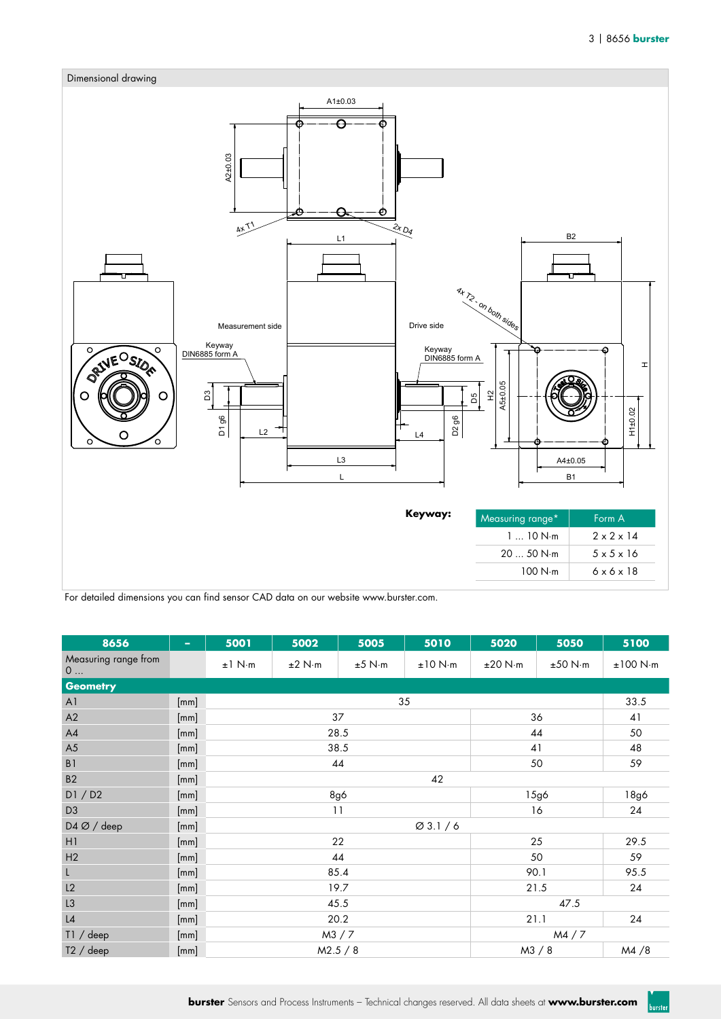**burster** 



For detailed dimensions you can find sensor CAD data on our website www.burster.com.

| 8656                        | ÷    | 5001                | 5002   | 5005             | 5010    | 5020    | 5050    | 5100     |  |
|-----------------------------|------|---------------------|--------|------------------|---------|---------|---------|----------|--|
| Measuring range from<br>$0$ |      | $\pm 1$ N $\cdot$ m | ±2 N·m | $±5$ N $\cdot$ m | ±10 N·m | ±20 N·m | ±50 N·m | ±100 N·m |  |
| <b>Geometry</b>             |      |                     |        |                  |         |         |         |          |  |
| A <sub>1</sub>              | [mm] |                     |        |                  | 35      |         | 33.5    |          |  |
| A2                          | [mm] |                     |        | 37               |         | 36      | 41      |          |  |
| A4                          | [mm] |                     |        | 28.5             |         | 44      | 50      |          |  |
| A5                          | [mm] |                     |        | 38.5             | 41      | 48      |         |          |  |
| $\mathsf B$ l               | [mm] |                     |        | 44               | 50      | 59      |         |          |  |
| B2                          | [mm] |                     |        |                  |         |         |         |          |  |
| DI / D2                     | [mm] |                     |        | 8g6              | 15g6    | 18g6    |         |          |  |
| D <sub>3</sub>              | [mm] |                     |        | 11               | 16      | 24      |         |          |  |
| D4 Ø / deep                 | [mm] |                     |        |                  |         |         |         |          |  |
| H1                          | [mm] |                     |        | 22               | 25      | 29.5    |         |          |  |
| H2                          | [mm] |                     |        | 44               | 50      | 59      |         |          |  |
| L                           | [mm] |                     |        | 85.4             | 90.1    | 95.5    |         |          |  |
| L2                          | [mm] |                     |        | 19.7             | 21.5    | 24      |         |          |  |
| L3                          | [mm] |                     |        | 45.5             | 47.5    |         |         |          |  |
| L4                          | [mm] |                     |        | 20.2             | 21.1    | 24      |         |          |  |
| T1 / deep                   | [mm] |                     |        | M3 / 7           | MA / 7  |         |         |          |  |
| $T2 /$ deep                 | [mm] |                     |        | M2.5 / 8         |         | M3 / 8  | M4/8    |          |  |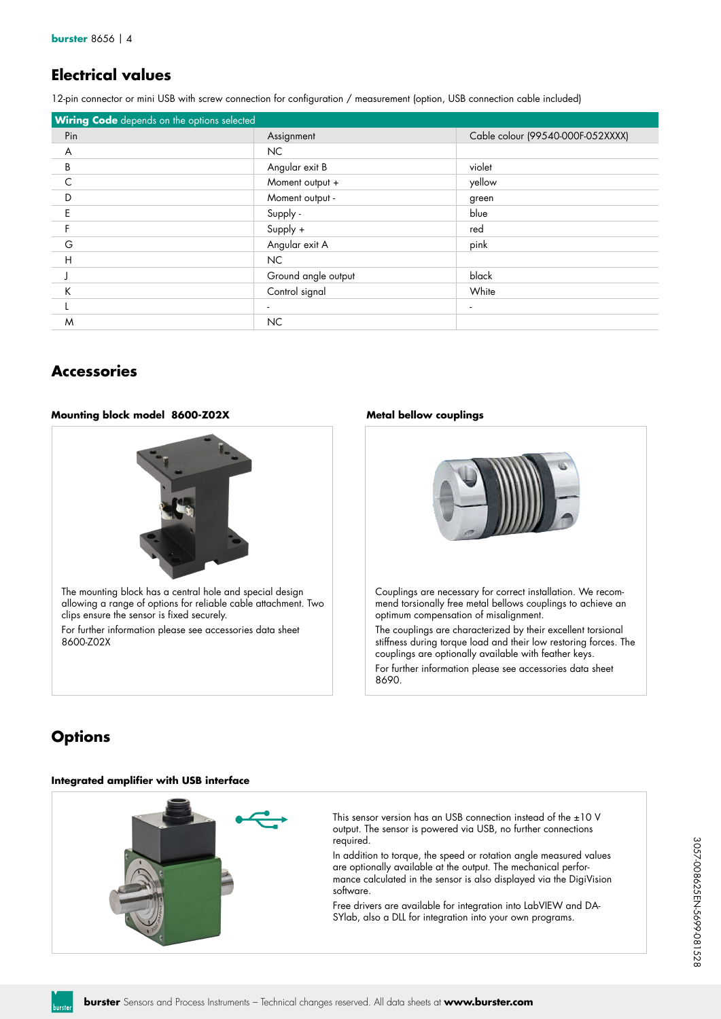# **Electrical values**

12-pin connector or mini USB with screw connection for configuration / measurement (option, USB connection cable included)

| <b>Wiring Code</b> depends on the options selected |                     |                                   |
|----------------------------------------------------|---------------------|-----------------------------------|
| Pin                                                | Assignment          | Cable colour (99540-000F-052XXXX) |
| A                                                  | NC.                 |                                   |
| B                                                  | Angular exit B      | violet                            |
| C                                                  | Moment output +     | yellow                            |
| D                                                  | Moment output -     | green                             |
| F                                                  | Supply -            | blue                              |
|                                                    | Supply +            | red                               |
| G                                                  | Angular exit A      | pink                              |
| H                                                  | NC.                 |                                   |
|                                                    | Ground angle output | black                             |
| Κ                                                  | Control signal      | White                             |
|                                                    |                     | $\blacksquare$                    |
| M                                                  | NC.                 |                                   |

## **Accessories**

### **Mounting block model 8600-Z02X Metal bellow couplings**





Couplings are necessary for correct installation. We recommend torsionally free metal bellows couplings to achieve an optimum compensation of misalignment.

The couplings are characterized by their excellent torsional stiffness during torque load and their low restoring forces. The couplings are optionally available with feather keys.

For further information please see accessories data sheet 8690.

# **Options**

### **Integrated amplifier with USB interface**



This sensor version has an USB connection instead of the ±10 V output. The sensor is powered via USB, no further connections required.

In addition to torque, the speed or rotation angle measured values are optionally available at the output. The mechanical performance calculated in the sensor is also displayed via the DigiVision software.

Free drivers are available for integration into LabVIEW and DA-SYlab, also a DLL for integration into your own programs.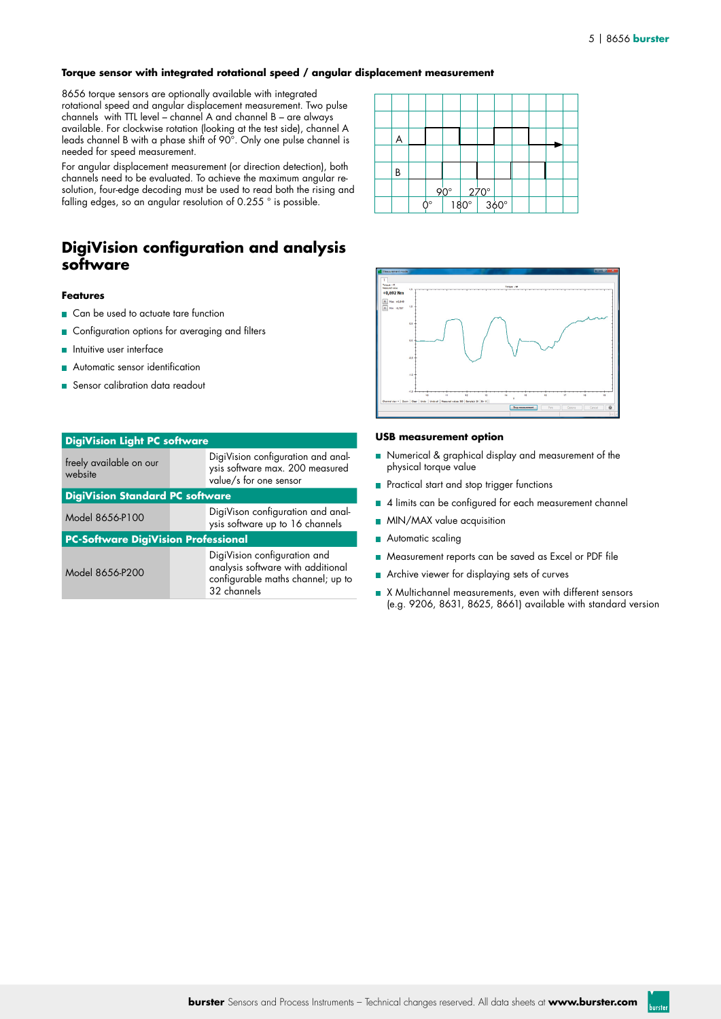### **Torque sensor with integrated rotational speed / angular displacement measurement**

8656 torque sensors are optionally available with integrated rotational speed and angular displacement measurement. Two pulse channels with TTL level – channel A and channel B – are always available. For clockwise rotation (looking at the test side), channel A leads channel B with a phase shift of 90°. Only one pulse channel is needed for speed measurement.

For angular displacement measurement (or direction detection), both channels need to be evaluated. To achieve the maximum angular resolution, four-edge decoding must be used to read both the rising and falling edges, so an angular resolution of 0.255 ° is possible.

### **DigiVision configuration and analysis software**

### **Features**

- Can be used to actuate tare function
- Configuration options for averaging and filters
- **n** Intuitive user interface
- **Automatic sensor identification**
- Sensor calibration data readout

| <b>DigiVision Light PC software</b>        |  |                                                                                                                       |  |  |  |  |  |  |
|--------------------------------------------|--|-----------------------------------------------------------------------------------------------------------------------|--|--|--|--|--|--|
| freely available on our<br>website         |  | DigiVision configuration and anal-<br>ysis software max. 200 measured<br>value/s for one sensor                       |  |  |  |  |  |  |
| <b>DigiVision Standard PC software</b>     |  |                                                                                                                       |  |  |  |  |  |  |
| Model 8656-P100                            |  | DigiVison configuration and anal-<br>ysis software up to 16 channels                                                  |  |  |  |  |  |  |
| <b>PC-Software DigiVision Professional</b> |  |                                                                                                                       |  |  |  |  |  |  |
| Model 8656-P200                            |  | DigiVision configuration and<br>analysis software with additional<br>configurable maths channel; up to<br>32 channels |  |  |  |  |  |  |





### **USB measurement option**

- Numerical & graphical display and measurement of the physical torque value
- **Practical start and stop trigger functions**
- 4 limits can be configured for each measurement channel
- **MIN/MAX** value acquisition
- Automatic scaling
- **Measurement reports can be saved as Excel or PDF file**
- Archive viewer for displaying sets of curves
- X Multichannel measurements, even with different sensors (e.g. 9206, 8631, 8625, 8661) available with standard version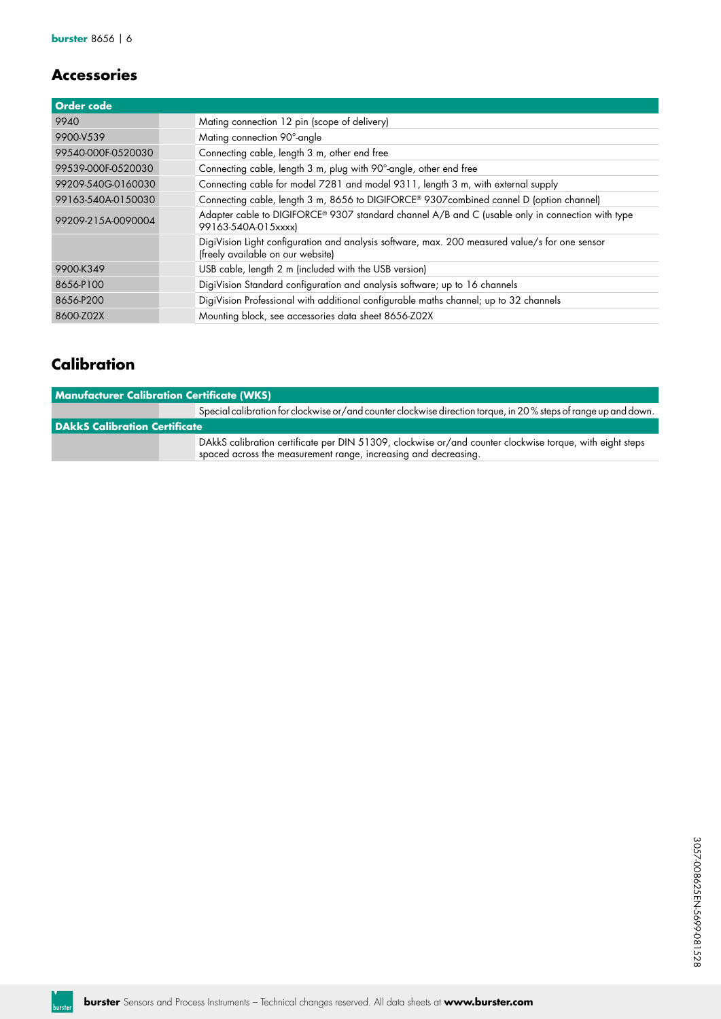# **Accessories**

| <b>Order code</b>  |                                                                                                                                     |
|--------------------|-------------------------------------------------------------------------------------------------------------------------------------|
| 9940               | Mating connection 12 pin (scope of delivery)                                                                                        |
| 9900-V539          | Mating connection 90°-angle                                                                                                         |
| 99540-000F-0520030 | Connecting cable, length 3 m, other end free                                                                                        |
| 99539-000F-0520030 | Connecting cable, length 3 m, plug with 90°-angle, other end free                                                                   |
| 99209-540G-0160030 | Connecting cable for model 7281 and model 9311, length 3 m, with external supply                                                    |
| 99163-540A-0150030 | Connecting cable, length 3 m, 8656 to DIGIFORCE® 9307combined cannel D (option channel)                                             |
| 99209-215A-0090004 | Adapter cable to DIGIFORCE® 9307 standard channel A/B and C (usable only in connection with type<br>99163-540A-015xxxx)             |
|                    | DigiVision Light configuration and analysis software, max. 200 measured value/s for one sensor<br>(freely available on our website) |
| 9900-K349          | USB cable, length 2 m (included with the USB version)                                                                               |
| 8656-P100          | DigiVision Standard configuration and analysis software; up to 16 channels                                                          |
| 8656-P200          | DigiVision Professional with additional configurable maths channel; up to 32 channels                                               |
| 8600-Z02X          | Mounting block, see accessories data sheet 8656-Z02X                                                                                |

# **Calibration**

| <b>Manufacturer Calibration Certificate (WKS)</b> |                                                                                                                                                                             |  |  |  |  |  |  |  |
|---------------------------------------------------|-----------------------------------------------------------------------------------------------------------------------------------------------------------------------------|--|--|--|--|--|--|--|
|                                                   | Special calibration for clockwise or/and counter clockwise direction torque, in 20% steps of range up and down.                                                             |  |  |  |  |  |  |  |
| <b>DAkkS Calibration Certificate</b>              |                                                                                                                                                                             |  |  |  |  |  |  |  |
|                                                   | DAkkS calibration certificate per DIN 51309, clockwise or/and counter clockwise torque, with eight steps<br>spaced across the measurement range, increasing and decreasing. |  |  |  |  |  |  |  |